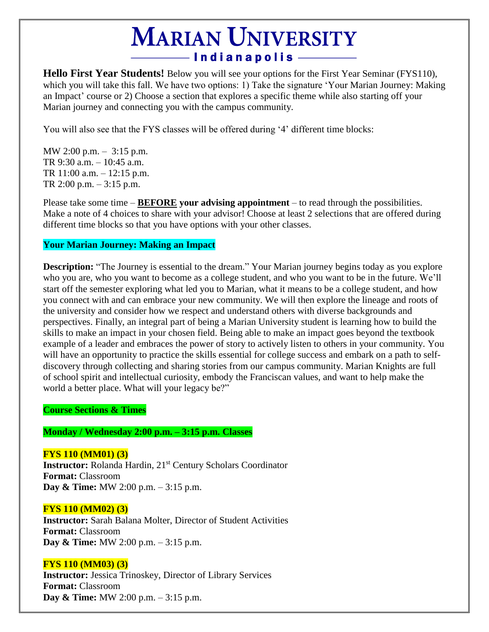# **MARIAN UNIVERSITY** -Indianapolis

**Hello First Year Students!** Below you will see your options for the First Year Seminar (FYS110), which you will take this fall. We have two options: 1) Take the signature 'Your Marian Journey: Making an Impact' course or 2) Choose a section that explores a specific theme while also starting off your Marian journey and connecting you with the campus community.

You will also see that the FYS classes will be offered during '4' different time blocks:

MW 2:00 p.m. – 3:15 p.m. TR 9:30 a.m. – 10:45 a.m. TR 11:00 a.m. – 12:15 p.m. TR 2:00 p.m. – 3:15 p.m.

Please take some time – **BEFORE your advising appointment** – to read through the possibilities. Make a note of 4 choices to share with your advisor! Choose at least 2 selections that are offered during different time blocks so that you have options with your other classes.

# **Your Marian Journey: Making an Impact**

**Description:** "The Journey is essential to the dream." Your Marian journey begins today as you explore who you are, who you want to become as a college student, and who you want to be in the future. We'll start off the semester exploring what led you to Marian, what it means to be a college student, and how you connect with and can embrace your new community. We will then explore the lineage and roots of the university and consider how we respect and understand others with diverse backgrounds and perspectives. Finally, an integral part of being a Marian University student is learning how to build the skills to make an impact in your chosen field. Being able to make an impact goes beyond the textbook example of a leader and embraces the power of story to actively listen to others in your community. You will have an opportunity to practice the skills essential for college success and embark on a path to selfdiscovery through collecting and sharing stories from our campus community. Marian Knights are full of school spirit and intellectual curiosity, embody the Franciscan values, and want to help make the world a better place. What will your legacy be?"

**Course Sections & Times**

**Monday / Wednesday 2:00 p.m. – 3:15 p.m. Classes**

**FYS 110 (MM01) (3) Instructor:** Rolanda Hardin, 21<sup>st</sup> Century Scholars Coordinator **Format:** Classroom **Day & Time:** MW 2:00 p.m. – 3:15 p.m.

# **FYS 110 (MM02) (3)**

**Instructor:** Sarah Balana Molter, Director of Student Activities **Format:** Classroom **Day & Time:** MW 2:00 p.m. – 3:15 p.m.

# **FYS 110 (MM03) (3)**

**Instructor:** Jessica Trinoskey, Director of Library Services **Format:** Classroom **Day & Time:** MW 2:00 p.m. – 3:15 p.m.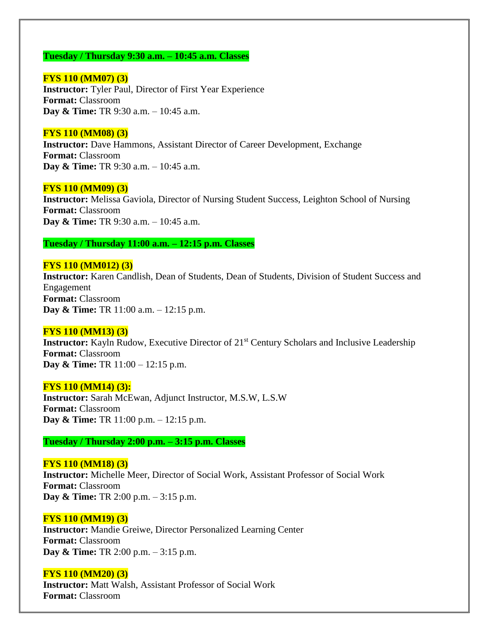## **Tuesday / Thursday 9:30 a.m. – 10:45 a.m. Classes**

**FYS 110 (MM07) (3) Instructor:** Tyler Paul, Director of First Year Experience **Format:** Classroom **Day & Time:** TR 9:30 a.m. – 10:45 a.m.

#### **FYS 110 (MM08) (3)**

**Instructor:** Dave Hammons, Assistant Director of Career Development, Exchange **Format:** Classroom **Day & Time:** TR 9:30 a.m. – 10:45 a.m.

#### **FYS 110 (MM09) (3)**

**Instructor:** Melissa Gaviola, Director of Nursing Student Success, Leighton School of Nursing **Format:** Classroom **Day & Time:** TR 9:30 a.m. – 10:45 a.m.

## **Tuesday / Thursday 11:00 a.m. – 12:15 p.m. Classes**

## **FYS 110 (MM012) (3)**

**Instructor:** Karen Candlish, Dean of Students, Dean of Students, Division of Student Success and Engagement **Format:** Classroom **Day & Time:** TR 11:00 a.m. – 12:15 p.m.

#### **FYS 110 (MM13) (3)**

**Instructor:** Kayln Rudow, Executive Director of 21<sup>st</sup> Century Scholars and Inclusive Leadership **Format:** Classroom **Day & Time:** TR 11:00 – 12:15 p.m.

#### **FYS 110 (MM14) (3):**

**Instructor:** Sarah McEwan, Adjunct Instructor, M.S.W, L.S.W **Format:** Classroom **Day & Time:** TR 11:00 p.m. – 12:15 p.m.

**Tuesday / Thursday 2:00 p.m. – 3:15 p.m. Classes**

#### **FYS 110 (MM18) (3)**

**Instructor:** Michelle Meer, Director of Social Work, Assistant Professor of Social Work **Format:** Classroom **Day & Time:** TR 2:00 p.m. – 3:15 p.m.

#### **FYS 110 (MM19) (3)**

**Instructor:** Mandie Greiwe, Director Personalized Learning Center **Format:** Classroom **Day & Time:** TR 2:00 p.m. – 3:15 p.m.

#### **FYS 110 (MM20) (3)**

**Instructor:** Matt Walsh, Assistant Professor of Social Work **Format:** Classroom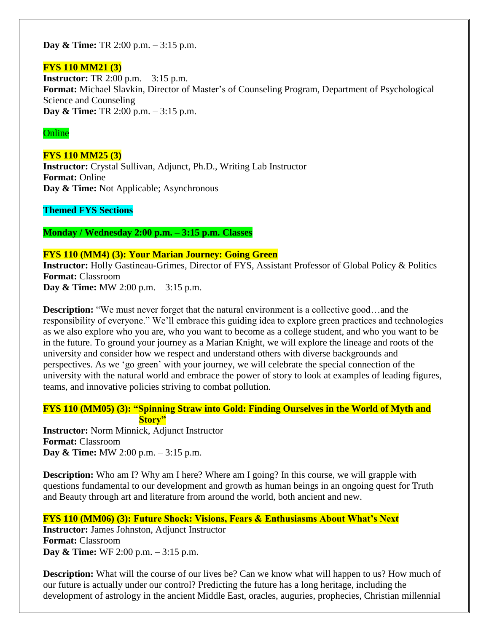**Day & Time:** TR 2:00 p.m. – 3:15 p.m.

## **FYS 110 MM21 (3)**

**Instructor:** TR 2:00 p.m. – 3:15 p.m. **Format:** Michael Slavkin, Director of Master's of Counseling Program, Department of Psychological Science and Counseling **Day & Time:** TR 2:00 p.m. – 3:15 p.m.

## **Online**

## **FYS 110 MM25 (3)**

**Instructor:** Crystal Sullivan, Adjunct, Ph.D., Writing Lab Instructor **Format:** Online **Day & Time:** Not Applicable; Asynchronous

**Themed FYS Sections**

**Monday / Wednesday 2:00 p.m. – 3:15 p.m. Classes**

## **FYS 110 (MM4) (3): Your Marian Journey: Going Green**

**Instructor:** Holly Gastineau-Grimes, Director of FYS, Assistant Professor of Global Policy & Politics **Format:** Classroom **Day & Time:** MW 2:00 p.m. – 3:15 p.m.

**Description:** "We must never forget that the natural environment is a collective good...and the responsibility of everyone." We'll embrace this guiding idea to explore green practices and technologies as we also explore who you are, who you want to become as a college student, and who you want to be in the future. To ground your journey as a Marian Knight, we will explore the lineage and roots of the university and consider how we respect and understand others with diverse backgrounds and perspectives. As we 'go green' with your journey, we will celebrate the special connection of the university with the natural world and embrace the power of story to look at examples of leading figures, teams, and innovative policies striving to combat pollution.

## **FYS 110 (MM05) (3): "Spinning Straw into Gold: Finding Ourselves in the World of Myth and Story"**

**Instructor:** Norm Minnick, Adjunct Instructor **Format:** Classroom **Day & Time:** MW 2:00 p.m. – 3:15 p.m.

**Description:** Who am I? Why am I here? Where am I going? In this course, we will grapple with questions fundamental to our development and growth as human beings in an ongoing quest for Truth and Beauty through art and literature from around the world, both ancient and new.

# **FYS 110 (MM06) (3): Future Shock: Visions, Fears & Enthusiasms About What's Next**

**Instructor:** James Johnston, Adjunct Instructor **Format:** Classroom **Day & Time:** WF 2:00 p.m. – 3:15 p.m.

**Description:** What will the course of our lives be? Can we know what will happen to us? How much of our future is actually under our control? Predicting the future has a long heritage, including the development of astrology in the ancient Middle East, oracles, auguries, prophecies, Christian millennial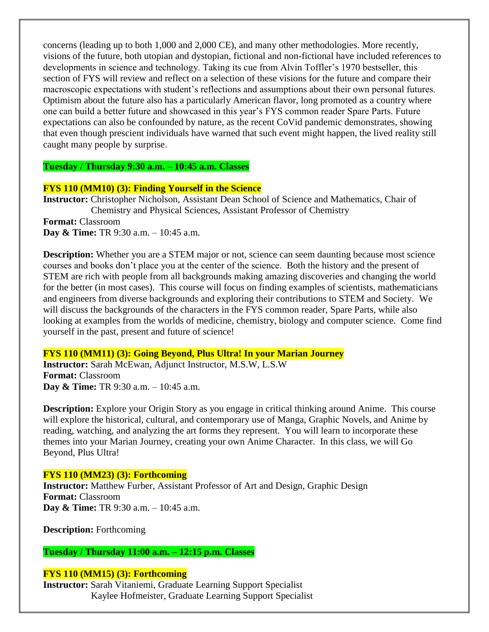concerns (leading up to both 1,000 and 2,000 CE), and many other methodologies. More recently, visions of the future, both utopian and dystopian, fictional and non-fictional have included references to developments in science and technology. Taking its cue from Alvin Toffler's 1970 bestseller, this section of FYS will review and reflect on a selection of these visions for the future and compare their macroscopic expectations with student's reflections and assumptions about their own personal futures. Optimism about the future also has a particularly American flavor, long promoted as a country where one can build a better future and showcased in this year's FYS common reader Spare Parts. Future expectations can also be confounded by nature, as the recent CoVid pandemic demonstrates, showing that even though prescient individuals have warned that such event might happen, the lived reality still caught many people by surprise.

**Tuesday / Thursday 9:30 a.m. – 10:45 a.m. Classes**

## **FYS 110 (MM10) (3): Finding Yourself in the Science**

**Instructor:** Christopher Nicholson, Assistant Dean School of Science and Mathematics, Chair of Chemistry and Physical Sciences, Assistant Professor of Chemistry **Format:** Classroom **Day & Time:** TR 9:30 a.m. – 10:45 a.m.

**Description:** Whether you are a STEM major or not, science can seem daunting because most science courses and books don't place you at the center of the science. Both the history and the present of STEM are rich with people from all backgrounds making amazing discoveries and changing the world for the better (in most cases). This course will focus on finding examples of scientists, mathematicians and engineers from diverse backgrounds and exploring their contributions to STEM and Society. We will discuss the backgrounds of the characters in the FYS common reader, Spare Parts, while also looking at examples from the worlds of medicine, chemistry, biology and computer science. Come find yourself in the past, present and future of science!

# **FYS 110 (MM11) (3): Going Beyond, Plus Ultra! In your Marian Journey**

**Instructor:** Sarah McEwan, Adjunct Instructor, M.S.W, L.S.W **Format:** Classroom **Day & Time:** TR 9:30 a.m. – 10:45 a.m.

**Description:** Explore your Origin Story as you engage in critical thinking around Anime. This course will explore the historical, cultural, and contemporary use of Manga, Graphic Novels, and Anime by reading, watching, and analyzing the art forms they represent. You will learn to incorporate these themes into your Marian Journey, creating your own Anime Character. In this class, we will Go Beyond, Plus Ultra!

# **FYS 110 (MM23) (3): Forthcoming**

**Instructor:** Matthew Furber, Assistant Professor of Art and Design, Graphic Design **Format:** Classroom **Day & Time:** TR 9:30 a.m. – 10:45 a.m.

**Description:** Forthcoming

**Tuesday / Thursday 11:00 a.m. – 12:15 p.m. Classes**

# **FYS 110 (MM15) (3): Forthcoming**

**Instructor:** Sarah Vitaniemi, Graduate Learning Support Specialist Kaylee Hofmeister, Graduate Learning Support Specialist